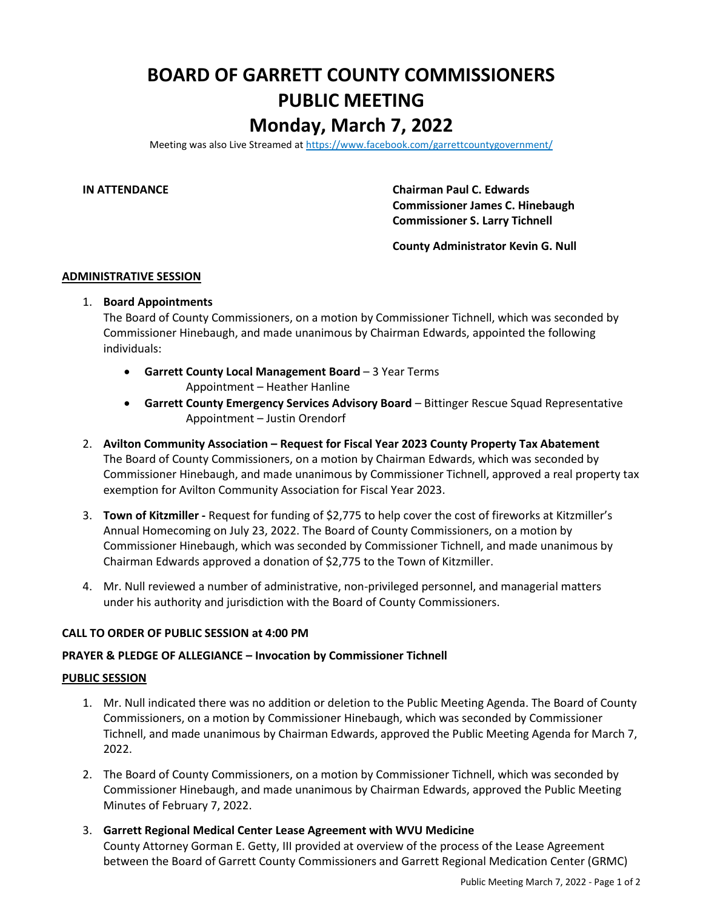# **BOARD OF GARRETT COUNTY COMMISSIONERS PUBLIC MEETING Monday, March 7, 2022**

Meeting was also Live Streamed a[t https://www.facebook.com/garrettcountygovernment/](https://www.facebook.com/garrettcountygovernment/)

**IN ATTENDANCE Chairman Paul C. Edwards Commissioner James C. Hinebaugh Commissioner S. Larry Tichnell**

**County Administrator Kevin G. Null**

#### **ADMINISTRATIVE SESSION**

# 1. **Board Appointments**

The Board of County Commissioners, on a motion by Commissioner Tichnell, which was seconded by Commissioner Hinebaugh, and made unanimous by Chairman Edwards, appointed the following individuals:

- **Garrett County Local Management Board** 3 Year Terms Appointment – Heather Hanline
- **Garrett County Emergency Services Advisory Board** Bittinger Rescue Squad Representative Appointment – Justin Orendorf
- 2. **Avilton Community Association – Request for Fiscal Year 2023 County Property Tax Abatement** The Board of County Commissioners, on a motion by Chairman Edwards, which was seconded by Commissioner Hinebaugh, and made unanimous by Commissioner Tichnell, approved a real property tax exemption for Avilton Community Association for Fiscal Year 2023.
- 3. **Town of Kitzmiller -** Request for funding of \$2,775 to help cover the cost of fireworks at Kitzmiller's Annual Homecoming on July 23, 2022. The Board of County Commissioners, on a motion by Commissioner Hinebaugh, which was seconded by Commissioner Tichnell, and made unanimous by Chairman Edwards approved a donation of \$2,775 to the Town of Kitzmiller.
- 4. Mr. Null reviewed a number of administrative, non-privileged personnel, and managerial matters under his authority and jurisdiction with the Board of County Commissioners.

# **CALL TO ORDER OF PUBLIC SESSION at 4:00 PM**

### **PRAYER & PLEDGE OF ALLEGIANCE – Invocation by Commissioner Tichnell**

#### **PUBLIC SESSION**

- 1. Mr. Null indicated there was no addition or deletion to the Public Meeting Agenda. The Board of County Commissioners, on a motion by Commissioner Hinebaugh, which was seconded by Commissioner Tichnell, and made unanimous by Chairman Edwards, approved the Public Meeting Agenda for March 7, 2022.
- 2. The Board of County Commissioners, on a motion by Commissioner Tichnell, which was seconded by Commissioner Hinebaugh, and made unanimous by Chairman Edwards, approved the Public Meeting Minutes of February 7, 2022.
- 3. **Garrett Regional Medical Center Lease Agreement with WVU Medicine**

County Attorney Gorman E. Getty, III provided at overview of the process of the Lease Agreement between the Board of Garrett County Commissioners and Garrett Regional Medication Center (GRMC)